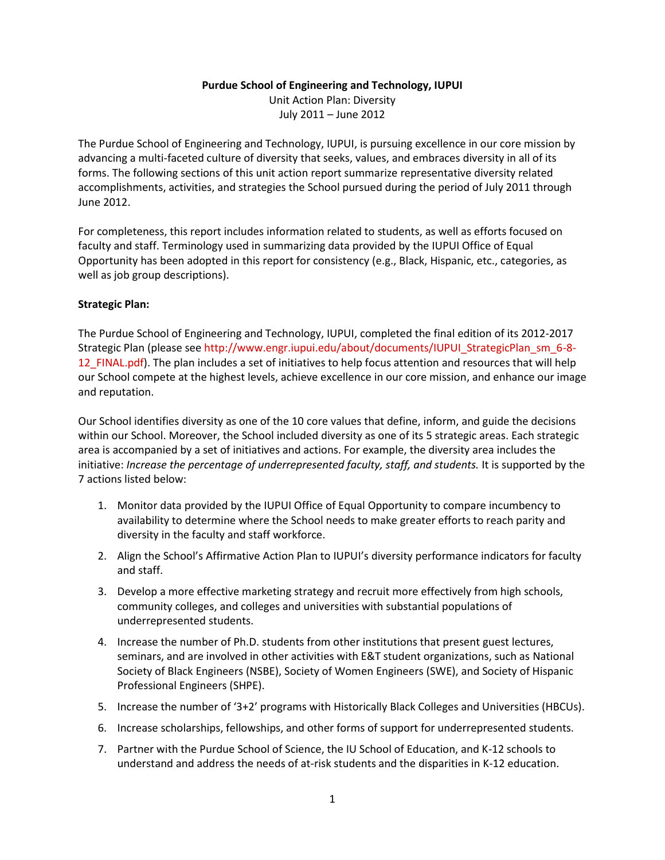#### **Purdue School of Engineering and Technology, IUPUI**

Unit Action Plan: Diversity July 2011 – June 2012

The Purdue School of Engineering and Technology, IUPUI, is pursuing excellence in our core mission by advancing a multi-faceted culture of diversity that seeks, values, and embraces diversity in all of its forms. The following sections of this unit action report summarize representative diversity related accomplishments, activities, and strategies the School pursued during the period of July 2011 through June 2012.

For completeness, this report includes information related to students, as well as efforts focused on faculty and staff. Terminology used in summarizing data provided by the IUPUI Office of Equal Opportunity has been adopted in this report for consistency (e.g., Black, Hispanic, etc., categories, as well as job group descriptions).

## **Strategic Plan:**

The Purdue School of Engineering and Technology, IUPUI, completed the final edition of its [2012-2017](http://www.engr.iupui.edu/about/documents/IUPUI_StrategicPlan_sm_6-8-12_FINAL.pdf)  [Strategic Plan](http://www.engr.iupui.edu/about/documents/IUPUI_StrategicPlan_sm_6-8-12_FINAL.pdf) (please see [http://www.engr.iupui.edu/about/documents/IUPUI\\_StrategicPlan\\_sm\\_6-8-](http://www.engr.iupui.edu/about/documents/IUPUI_StrategicPlan_sm_6-8-12_FINAL.pdf) [12\\_FINAL.pdf\)](http://www.engr.iupui.edu/about/documents/IUPUI_StrategicPlan_sm_6-8-12_FINAL.pdf). The plan includes a set of initiatives to help focus attention and resources that will help our School compete at the highest levels, achieve excellence in our core mission, and enhance our image and reputation.

Our School identifies diversity as one of the 10 core values that define, inform, and guide the decisions within our School. Moreover, the School included diversity as one of its 5 strategic areas. Each strategic area is accompanied by a set of initiatives and actions. For example, the diversity area includes the initiative: *Increase the percentage of underrepresented faculty, staff, and students.* It is supported by the 7 actions listed below:

- 1. Monitor data provided by the IUPUI Office of Equal Opportunity to compare incumbency to availability to determine where the School needs to make greater efforts to reach parity and diversity in the faculty and staff workforce.
- 2. Align the School's Affirmative Action Plan to IUPUI's diversity performance indicators for faculty and staff.
- 3. Develop a more effective marketing strategy and recruit more effectively from high schools, community colleges, and colleges and universities with substantial populations of underrepresented students.
- 4. Increase the number of Ph.D. students from other institutions that present guest lectures, seminars, and are involved in other activities with E&T student organizations, such as National Society of Black Engineers (NSBE), Society of Women Engineers (SWE), and Society of Hispanic Professional Engineers (SHPE).
- 5. Increase the number of '3+2' programs with Historically Black Colleges and Universities (HBCUs).
- 6. Increase scholarships, fellowships, and other forms of support for underrepresented students.
- 7. Partner with the Purdue School of Science, the IU School of Education, and K-12 schools to understand and address the needs of at-risk students and the disparities in K-12 education.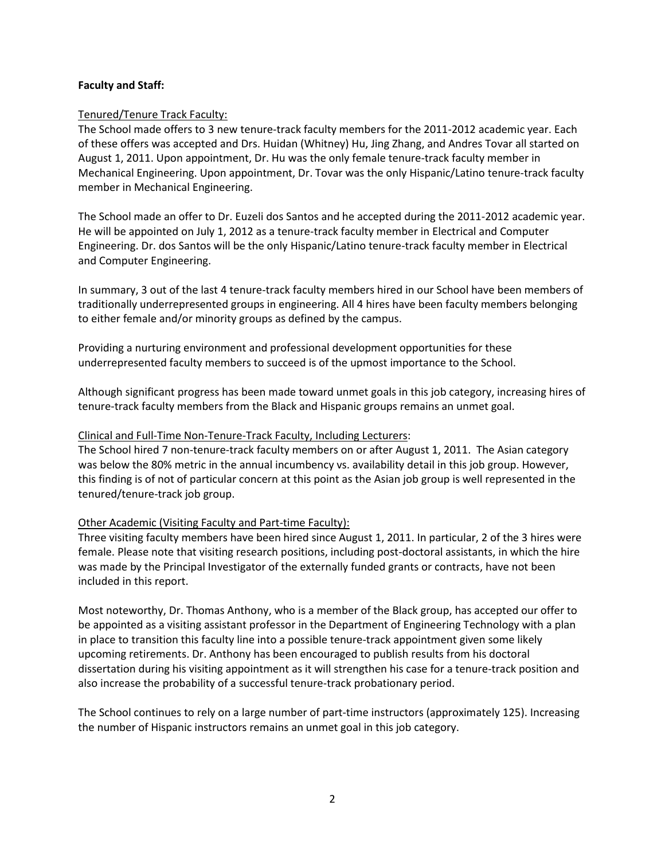### **Faculty and Staff:**

### Tenured/Tenure Track Faculty:

The School made offers to 3 new tenure-track faculty members for the 2011-2012 academic year. Each of these offers was accepted and Drs. Huidan (Whitney) Hu, Jing Zhang, and Andres Tovar all started on August 1, 2011. Upon appointment, Dr. Hu was the only female tenure-track faculty member in Mechanical Engineering. Upon appointment, Dr. Tovar was the only Hispanic/Latino tenure-track faculty member in Mechanical Engineering.

The School made an offer to Dr. Euzeli dos Santos and he accepted during the 2011-2012 academic year. He will be appointed on July 1, 2012 as a tenure-track faculty member in Electrical and Computer Engineering. Dr. dos Santos will be the only Hispanic/Latino tenure-track faculty member in Electrical and Computer Engineering.

In summary, 3 out of the last 4 tenure-track faculty members hired in our School have been members of traditionally underrepresented groups in engineering. All 4 hires have been faculty members belonging to either female and/or minority groups as defined by the campus.

Providing a nurturing environment and professional development opportunities for these underrepresented faculty members to succeed is of the upmost importance to the School.

Although significant progress has been made toward unmet goals in this job category, increasing hires of tenure-track faculty members from the Black and Hispanic groups remains an unmet goal.

### Clinical and Full-Time Non-Tenure-Track Faculty, Including Lecturers:

The School hired 7 non-tenure-track faculty members on or after August 1, 2011. The Asian category was below the 80% metric in the annual incumbency vs. availability detail in this job group. However, this finding is of not of particular concern at this point as the Asian job group is well represented in the tenured/tenure-track job group.

## Other Academic (Visiting Faculty and Part-time Faculty):

Three visiting faculty members have been hired since August 1, 2011. In particular, 2 of the 3 hires were female. Please note that visiting research positions, including post-doctoral assistants, in which the hire was made by the Principal Investigator of the externally funded grants or contracts, have not been included in this report.

Most noteworthy, Dr. Thomas Anthony, who is a member of the Black group, has accepted our offer to be appointed as a visiting assistant professor in the Department of Engineering Technology with a plan in place to transition this faculty line into a possible tenure-track appointment given some likely upcoming retirements. Dr. Anthony has been encouraged to publish results from his doctoral dissertation during his visiting appointment as it will strengthen his case for a tenure-track position and also increase the probability of a successful tenure-track probationary period.

The School continues to rely on a large number of part-time instructors (approximately 125). Increasing the number of Hispanic instructors remains an unmet goal in this job category.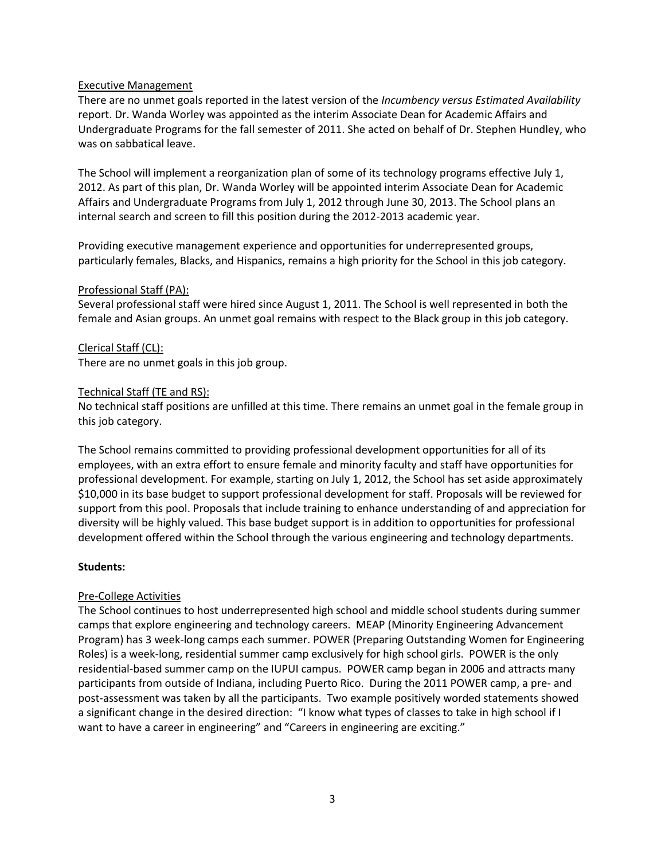#### Executive Management

There are no unmet goals reported in the latest version of the *Incumbency versus Estimated Availability*  report. Dr. Wanda Worley was appointed as the interim Associate Dean for Academic Affairs and Undergraduate Programs for the fall semester of 2011. She acted on behalf of Dr. Stephen Hundley, who was on sabbatical leave.

The School will implement a reorganization plan of some of its technology programs effective July 1, 2012. As part of this plan, Dr. Wanda Worley will be appointed interim Associate Dean for Academic Affairs and Undergraduate Programs from July 1, 2012 through June 30, 2013. The School plans an internal search and screen to fill this position during the 2012-2013 academic year.

Providing executive management experience and opportunities for underrepresented groups, particularly females, Blacks, and Hispanics, remains a high priority for the School in this job category.

#### Professional Staff (PA):

Several professional staff were hired since August 1, 2011. The School is well represented in both the female and Asian groups. An unmet goal remains with respect to the Black group in this job category.

#### Clerical Staff (CL):

There are no unmet goals in this job group.

#### Technical Staff (TE and RS):

No technical staff positions are unfilled at this time. There remains an unmet goal in the female group in this job category.

The School remains committed to providing professional development opportunities for all of its employees, with an extra effort to ensure female and minority faculty and staff have opportunities for professional development. For example, starting on July 1, 2012, the School has set aside approximately \$10,000 in its base budget to support professional development for staff. Proposals will be reviewed for support from this pool. Proposals that include training to enhance understanding of and appreciation for diversity will be highly valued. This base budget support is in addition to opportunities for professional development offered within the School through the various engineering and technology departments.

#### **Students:**

## Pre-College Activities

The School continues to host underrepresented high school and middle school students during summer camps that explore engineering and technology careers. MEAP (Minority Engineering Advancement Program) has 3 week-long camps each summer. POWER (Preparing Outstanding Women for Engineering Roles) is a week-long, residential summer camp exclusively for high school girls. POWER is the only residential-based summer camp on the IUPUI campus. POWER camp began in 2006 and attracts many participants from outside of Indiana, including Puerto Rico. During the 2011 POWER camp, a pre- and post-assessment was taken by all the participants. Two example positively worded statements showed a significant change in the desired direction: "I know what types of classes to take in high school if I want to have a career in engineering" and "Careers in engineering are exciting."